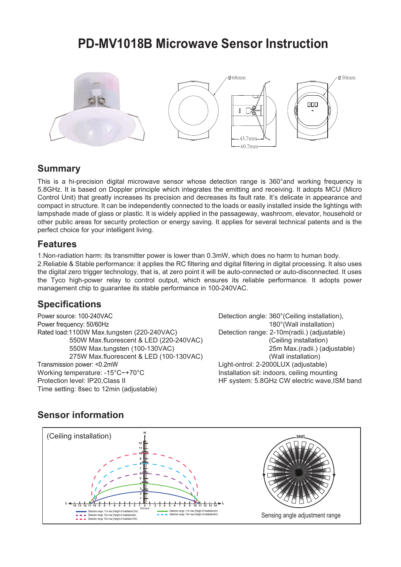# **PD-MV1018B Microwave Sensor Instruction**



#### **Summary**

This is a hi-precision digital microwave sensor whose detection range is 360°and working frequency is 5.8GHz. It is based on Doppler principle which integrates the emitting and receiving. It adopts MCU (Micro Control Unit) that greatly increases its precision and decreases its fault rate. It's delicate in appearance and compact in structure. It can be independently connected to the loads or easily installed inside the lightings with lampshade made of glass or plastic. It is widely applied in the passageway, washroom, elevator, household or other public areas for security protection or energy saving. It applies for several technical patents and is the perfect choice for your intelligent living.

### **Features**

1.Non-radiation harm: its transmitter power is lower than 0.3mW, which does no harm to human body. 2.Reliable & Stable performance: it applies the RC filtering and digital filtering in digital processing. It also uses the digital zero trigger technology, that is, at zero point it will be auto-connected or auto-disconnected. It uses the Tyco high-power relay to control output, which ensures its reliable performance. It adopts power management chip to guarantee its stable performance in 100-240VAC.

### **Specifications**

Power source: 100-240VAC Power frequency: 50/60Hz Rated load:1100W Max.tungsten (220-240VAC) 550W Max.fluorescent & LED (220-240VAC) 550W Max.tungsten (100-130VAC) 275W Max.fluorescent & LED (100-130VAC) Transmission power: <0.2mW Working temperature: -15°C~+70°C Protection level: IP20,Class II Time setting: 8sec to 12min (adjustable)

Detection angle: 360°(Ceiling installation), 180°(Wall installation) Detection range: 2-10m(radii.) (adjustable) (Ceiling installation) 25m Max.(radii.) (adjustable) (Wall installation) Light-ontrol: 2-2000LUX (adjustable) Installation sit: indoors, ceiling mounting HF system: 5.8GHz CW electric wave,ISM band

## **Sensor information**

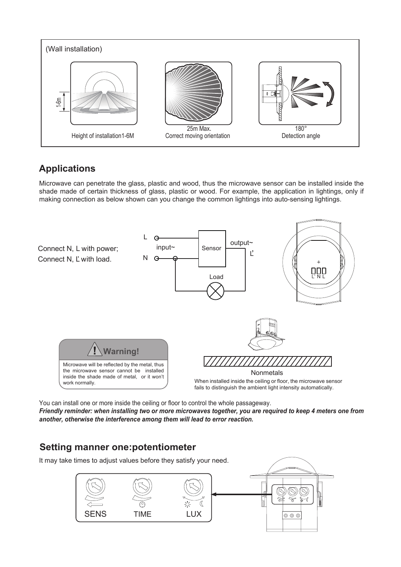

## **Applications**

Microwave can penetrate the glass, plastic and wood, thus the microwave sensor can be installed inside the shade made of certain thickness of glass, plastic or wood. For example, the application in lightings, only if making connection as below shown can you change the common lightings into auto-sensing lightings.



You can install one or more inside the ceiling or floor to control the whole passageway. *Friendly reminder: when installing two or more microwaves together, you are required to keep 4 meters one from another, otherwise the interference among them will lead to error reaction.*

### **Setting manner one:potentiometer**

It may take times to adjust values before they satisfy your need.

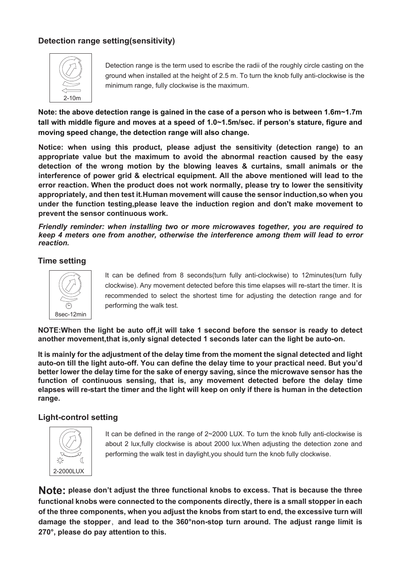#### **Detection range setting(sensitivity)**



Detection range is the term used to escribe the radii of the roughly circle casting on the ground when installed at the height of 2.5 m. To turn the knob fully anti-clockwise is the minimum range, fully clockwise is the maximum.

**Note: the above detection range is gained in the case of a person who is between 1.6m~1.7m tall with middle figure and moves at a speed of 1.0~1.5m/sec. if person's stature, figure and moving speed change, the detection range will also change.**

**Notice: when using this product, please adjust the sensitivity (detection range) to an appropriate value but the maximum to avoid the abnormal reaction caused by the easy detection of the wrong motion by the blowing leaves & curtains, small animals or the interference of power grid & electrical equipment. All the above mentioned will lead to the error reaction. When the product does not work normally, please try to lower the sensitivity appropriately, and then test it.Human movement will cause the sensor induction,so when you under the function testing,please leave the induction region and don't make movement to prevent the sensor continuous work.**

*Friendly reminder: when installing two or more microwaves together, you are required to keep 4 meters one from another, otherwise the interference among them will lead to error reaction.*

#### **Time setting**



It can be defined from 8 seconds(turn fully anti-clockwise) to 12minutes(turn fully clockwise). Any movement detected before this time elapses will re-start the timer. It is recommended to select the shortest time for adjusting the detection range and for performing the walk test.

**NOTE:When the light be auto off,it will take 1 second before the sensor is ready to detect another movement,that is,only signal detected 1 seconds later can the light be auto-on.**

**It is mainly for the adjustment of the delay time from the moment the signal detected and light auto-on till the light auto-off. You can define the delay time to your practical need. But you'd better lower the delay time for the sake of energy saving, since the microwave sensor has the function of continuous sensing, that is, any movement detected before the delay time elapses will re-start the timer and the light will keep on only if there is human in the detection range.**

#### **Light-control setting**



It can be defined in the range of 2~2000 LUX. To turn the knob fully anti-clockwise is about 2 lux,fully clockwise is about 2000 lux.When adjusting the detection zone and performing the walk test in daylight,you should turn the knob fully clockwise.

**Note: please don't adjust the three functional knobs to excess. That is because the three functional knobs were connected to the components directly, there is a small stopper in each of the three components, when you adjust the knobs from start to end, the excessive turn will damage the stopper**,**and lead to the 360°non-stop turn around. The adjust range limit is 270°, please do pay attention to this.**